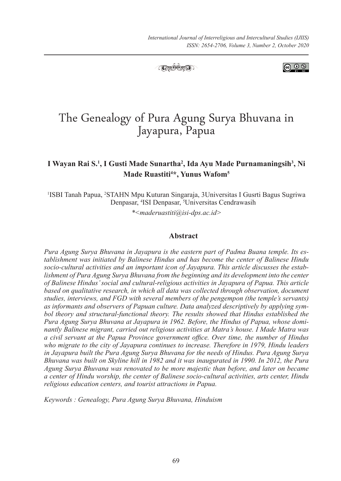

**ெ** ெ

# The Genealogy of Pura Agung Surya Bhuvana in Jayapura, Papua

### **I Wayan Rai S.1 , I Gusti Made Sunartha2 , Ida Ayu Made Purnamaningsih3 , Ni Made Ruastiti4 \*, Yunus Wafom5**

1 ISBI Tanah Papua, <sup>2</sup> STAHN Mpu Kuturan Singaraja, 3Universitas I Gusrti Bagus Sugriwa Denpasar, <sup>4</sup>ISI Denpasar, <sup>5</sup>Universitas Cendrawasih

*\*<maderuastiti@isi-dps.ac.id>*

#### **Abstract**

*Pura Agung Surya Bhuvana in Jayapura is the eastern part of Padma Buana temple. Its establishment was initiated by Balinese Hindus and has become the center of Balinese Hindu socio-cultural activities and an important icon of Jayapura. This article discusses the establishment of Pura Agung Surya Bhuvana from the beginning and its development into the center of Balinese Hindus' social and cultural-religious activities in Jayapura of Papua. This article based on qualitative research, in which all data was collected through observation, document studies, interviews, and FGD with several members of the pengempon (the temple's servants) as informants and observers of Papuan culture. Data analyzed descriptively by applying symbol theory and structural-functional theory. The results showed that Hindus established the Pura Agung Surya Bhuvana at Jayapura in 1962. Before, the Hindus of Papua, whose dominantly Balinese migrant, carried out religious activities at Matra's house. I Made Matra was a civil servant at the Papua Province government office. Over time, the number of Hindus who migrate to the city of Jayapura continues to increase. Therefore in 1979, Hindu leaders in Jayapura built the Pura Agung Surya Bhuvana for the needs of Hindus. Pura Agung Surya Bhuvana was built on Skyline hill in 1982 and it was inaugurated in 1990. In 2012, the Pura Agung Surya Bhuvana was renovated to be more majestic than before, and later on became a center of Hindu worship, the center of Balinese socio-cultural activities, arts center, Hindu religious education centers, and tourist attractions in Papua.*

*Keywords : Genealogy, Pura Agung Surya Bhuvana, Hinduism*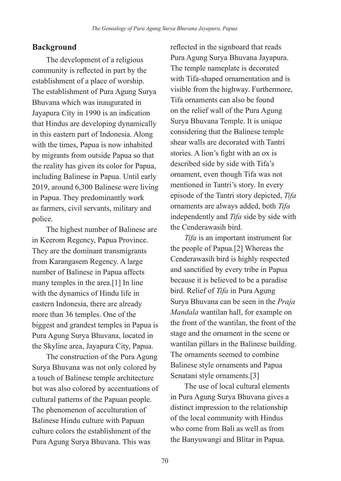#### **Background**

The development of a religious community is reflected in part by the establishment of a place of worship. The establishment of Pura Agung Surya Bhuvana which was inaugurated in Jayapura City in 1990 is an indication that Hindus are developing dynamically in this eastern part of Indonesia. Along with the times, Papua is now inhabited by migrants from outside Papua so that the reality has given its color for Papua, including Balinese in Papua. Until early 2019, around 6,300 Balinese were living in Papua. They predominantly work as farmers, civil servants, military and police.

The highest number of Balinese are in Keerom Regency, Papua Province. They are the dominant transmigrants from Karangasem Regency. A large number of Balinese in Papua affects many temples in the area.[1] In line with the dynamics of Hindu life in eastern Indonesia, there are already more than 36 temples. One of the biggest and grandest temples in Papua is Pura Agung Surya Bhuvana, located in the Skyline area, Jayapura City, Papua.

The construction of the Pura Agung Surya Bhuvana was not only colored by a touch of Balinese temple architecture but was also colored by accentuations of cultural patterns of the Papuan people. The phenomenon of acculturation of Balinese Hindu culture with Papuan culture colors the establishment of the Pura Agung Surya Bhuvana. This was

reflected in the signboard that reads Pura Agung Surya Bhuvana Jayapura. The temple nameplate is decorated with Tifa-shaped ornamentation and is visible from the highway. Furthermore, Tifa ornaments can also be found on the relief wall of the Pura Agung Surya Bhuvana Temple. It is unique considering that the Balinese temple shear walls are decorated with Tantri stories. A lion's fight with an ox is described side by side with Tifa's ornament, even though Tifa was not mentioned in Tantri's story. In every episode of the Tantri story depicted, *Tifa* ornaments are always added, both *Tifa* independently and *Tifa* side by side with the Cenderawasih bird.

*Tifa* is an important instrument for the people of Papua.[2] Whereas the Cenderawasih bird is highly respected and sanctified by every tribe in Papua because it is believed to be a paradise bird. Relief of *Tifa* in Pura Agung Surya Bhuvana can be seen in the *Praja Mandala* wantilan hall, for example on the front of the wantilan, the front of the stage and the ornament in the scene or wantilan pillars in the Balinese building. The ornaments seemed to combine Balinese style ornaments and Papua Senatani style ornaments.[3]

The use of local cultural elements in Pura Agung Surya Bhuvana gives a distinct impression to the relationship of the local community with Hindus who come from Bali as well as from the Banyuwangi and Blitar in Papua.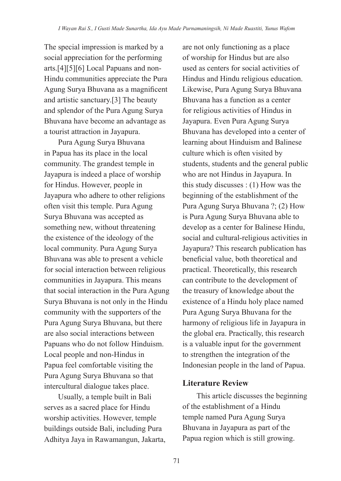The special impression is marked by a social appreciation for the performing arts.[4][5][6] Local Papuans and non-Hindu communities appreciate the Pura Agung Surya Bhuvana as a magnificent and artistic sanctuary.[3] The beauty and splendor of the Pura Agung Surya Bhuvana have become an advantage as a tourist attraction in Jayapura.

Pura Agung Surya Bhuvana in Papua has its place in the local community. The grandest temple in Jayapura is indeed a place of worship for Hindus. However, people in Jayapura who adhere to other religions often visit this temple. Pura Agung Surya Bhuvana was accepted as something new, without threatening the existence of the ideology of the local community. Pura Agung Surya Bhuvana was able to present a vehicle for social interaction between religious communities in Jayapura. This means that social interaction in the Pura Agung Surya Bhuvana is not only in the Hindu community with the supporters of the Pura Agung Surya Bhuvana, but there are also social interactions between Papuans who do not follow Hinduism. Local people and non-Hindus in Papua feel comfortable visiting the Pura Agung Surya Bhuvana so that intercultural dialogue takes place.

Usually, a temple built in Bali serves as a sacred place for Hindu worship activities. However, temple buildings outside Bali, including Pura Adhitya Jaya in Rawamangun, Jakarta, are not only functioning as a place of worship for Hindus but are also used as centers for social activities of Hindus and Hindu religious education. Likewise, Pura Agung Surya Bhuvana Bhuvana has a function as a center for religious activities of Hindus in Jayapura. Even Pura Agung Surya Bhuvana has developed into a center of learning about Hinduism and Balinese culture which is often visited by students, students and the general public who are not Hindus in Jayapura. In this study discusses : (1) How was the beginning of the establishment of the Pura Agung Surya Bhuvana ?; (2) How is Pura Agung Surya Bhuvana able to develop as a center for Balinese Hindu, social and cultural-religious activities in Jayapura? This research publication has beneficial value, both theoretical and practical. Theoretically, this research can contribute to the development of the treasury of knowledge about the existence of a Hindu holy place named Pura Agung Surya Bhuvana for the harmony of religious life in Jayapura in the global era. Practically, this research is a valuable input for the government to strengthen the integration of the Indonesian people in the land of Papua.

#### **Literature Review**

This article discusses the beginning of the establishment of a Hindu temple named Pura Agung Surya Bhuvana in Jayapura as part of the Papua region which is still growing.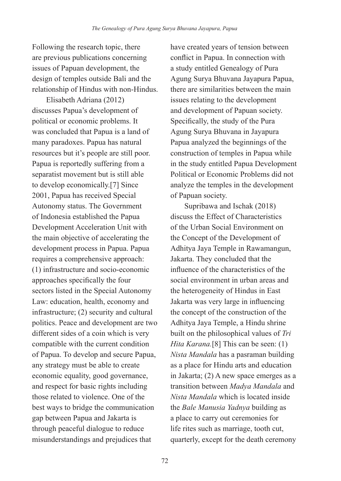Following the research topic, there are previous publications concerning issues of Papuan development, the design of temples outside Bali and the relationship of Hindus with non-Hindus.

Elisabeth Adriana (2012) discusses Papua's development of political or economic problems. It was concluded that Papua is a land of many paradoxes. Papua has natural resources but it's people are still poor. Papua is reportedly suffering from a separatist movement but is still able to develop economically.[7] Since 2001, Papua has received Special Autonomy status. The Government of Indonesia established the Papua Development Acceleration Unit with the main objective of accelerating the development process in Papua. Papua requires a comprehensive approach: (1) infrastructure and socio-economic approaches specifically the four sectors listed in the Special Autonomy Law: education, health, economy and infrastructure; (2) security and cultural politics. Peace and development are two different sides of a coin which is very compatible with the current condition of Papua. To develop and secure Papua, any strategy must be able to create economic equality, good governance, and respect for basic rights including those related to violence. One of the best ways to bridge the communication gap between Papua and Jakarta is through peaceful dialogue to reduce misunderstandings and prejudices that

have created years of tension between conflict in Papua. In connection with a study entitled Genealogy of Pura Agung Surya Bhuvana Jayapura Papua, there are similarities between the main issues relating to the development and development of Papuan society. Specifically, the study of the Pura Agung Surya Bhuvana in Jayapura Papua analyzed the beginnings of the construction of temples in Papua while in the study entitled Papua Development Political or Economic Problems did not analyze the temples in the development of Papuan society.

Supribawa and Ischak (2018) discuss the Effect of Characteristics of the Urban Social Environment on the Concept of the Development of Adhitya Jaya Temple in Rawamangun, Jakarta. They concluded that the influence of the characteristics of the social environment in urban areas and the heterogeneity of Hindus in East Jakarta was very large in influencing the concept of the construction of the Adhitya Jaya Temple, a Hindu shrine built on the philosophical values of *Tri Hita Karana.*[8] This can be seen: (1) *Nista Mandala* has a pasraman building as a place for Hindu arts and education in Jakarta; (2) A new space emerges as a transition between *Madya Mandala* and *Nista Mandala* which is located inside the *Bale Manusia Yadnya* building as a place to carry out ceremonies for life rites such as marriage, tooth cut, quarterly, except for the death ceremony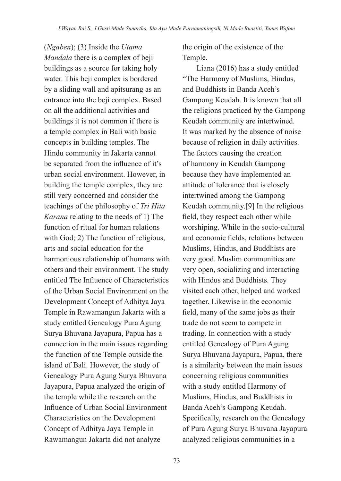(*Ngaben*); (3) Inside the *Utama Mandala* there is a complex of beji buildings as a source for taking holy water. This beji complex is bordered by a sliding wall and apitsurang as an entrance into the beji complex. Based on all the additional activities and buildings it is not common if there is a temple complex in Bali with basic concepts in building temples. The Hindu community in Jakarta cannot be separated from the influence of it's urban social environment. However, in building the temple complex, they are still very concerned and consider the teachings of the philosophy of *Tri Hita Karana* relating to the needs of 1) The function of ritual for human relations with God; 2) The function of religious, arts and social education for the harmonious relationship of humans with others and their environment. The study entitled The Influence of Characteristics of the Urban Social Environment on the Development Concept of Adhitya Jaya Temple in Rawamangun Jakarta with a study entitled Genealogy Pura Agung Surya Bhuvana Jayapura, Papua has a connection in the main issues regarding the function of the Temple outside the island of Bali. However, the study of Genealogy Pura Agung Surya Bhuvana Jayapura, Papua analyzed the origin of the temple while the research on the Influence of Urban Social Environment Characteristics on the Development Concept of Adhitya Jaya Temple in Rawamangun Jakarta did not analyze

the origin of the existence of the Temple.

Liana (2016) has a study entitled "The Harmony of Muslims, Hindus, and Buddhists in Banda Aceh's Gampong Keudah. It is known that all the religions practiced by the Gampong Keudah community are intertwined. It was marked by the absence of noise because of religion in daily activities. The factors causing the creation of harmony in Keudah Gampong because they have implemented an attitude of tolerance that is closely intertwined among the Gampong Keudah community.[9] In the religious field, they respect each other while worshiping. While in the socio-cultural and economic fields, relations between Muslims, Hindus, and Buddhists are very good. Muslim communities are very open, socializing and interacting with Hindus and Buddhists. They visited each other, helped and worked together. Likewise in the economic field, many of the same jobs as their trade do not seem to compete in trading. In connection with a study entitled Genealogy of Pura Agung Surya Bhuvana Jayapura, Papua, there is a similarity between the main issues concerning religious communities with a study entitled Harmony of Muslims, Hindus, and Buddhists in Banda Aceh's Gampong Keudah. Specifically, research on the Genealogy of Pura Agung Surya Bhuvana Jayapura analyzed religious communities in a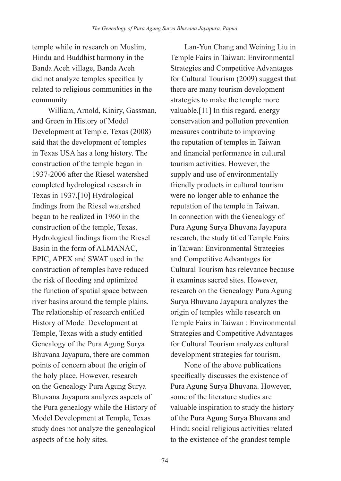temple while in research on Muslim, Hindu and Buddhist harmony in the Banda Aceh village, Banda Aceh did not analyze temples specifically related to religious communities in the community.

 William, Arnold, Kiniry, Gassman, and Green in History of Model Development at Temple, Texas (2008) said that the development of temples in Texas USA has a long history. The construction of the temple began in 1937-2006 after the Riesel watershed completed hydrological research in Texas in 1937.[10] Hydrological findings from the Riesel watershed began to be realized in 1960 in the construction of the temple, Texas. Hydrological findings from the Riesel Basin in the form of ALMANAC, EPIC, APEX and SWAT used in the construction of temples have reduced the risk of flooding and optimized the function of spatial space between river basins around the temple plains. The relationship of research entitled History of Model Development at Temple, Texas with a study entitled Genealogy of the Pura Agung Surya Bhuvana Jayapura, there are common points of concern about the origin of the holy place. However, research on the Genealogy Pura Agung Surya Bhuvana Jayapura analyzes aspects of the Pura genealogy while the History of Model Development at Temple, Texas study does not analyze the genealogical aspects of the holy sites.

Lan-Yun Chang and Weining Liu in Temple Fairs in Taiwan: Environmental Strategies and Competitive Advantages for Cultural Tourism (2009) suggest that there are many tourism development strategies to make the temple more valuable.[11] In this regard, energy conservation and pollution prevention measures contribute to improving the reputation of temples in Taiwan and financial performance in cultural tourism activities. However, the supply and use of environmentally friendly products in cultural tourism were no longer able to enhance the reputation of the temple in Taiwan. In connection with the Genealogy of Pura Agung Surya Bhuvana Jayapura research, the study titled Temple Fairs in Taiwan: Environmental Strategies and Competitive Advantages for Cultural Tourism has relevance because it examines sacred sites. However, research on the Genealogy Pura Agung Surya Bhuvana Jayapura analyzes the origin of temples while research on Temple Fairs in Taiwan : Environmental Strategies and Competitive Advantages for Cultural Tourism analyzes cultural development strategies for tourism.

None of the above publications specifically discusses the existence of Pura Agung Surya Bhuvana. However, some of the literature studies are valuable inspiration to study the history of the Pura Agung Surya Bhuvana and Hindu social religious activities related to the existence of the grandest temple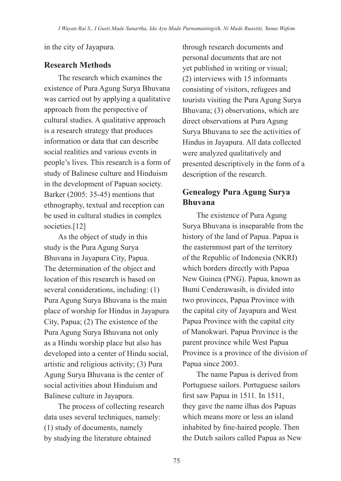in the city of Jayapura.

## **Research Methods**

The research which examines the existence of Pura Agung Surya Bhuvana was carried out by applying a qualitative approach from the perspective of cultural studies. A qualitative approach is a research strategy that produces information or data that can describe social realities and various events in people's lives. This research is a form of study of Balinese culture and Hinduism in the development of Papuan society. Barker (2005: 35-45) mentions that ethnography, textual and reception can be used in cultural studies in complex societies.<sup>[12]</sup>

As the object of study in this study is the Pura Agung Surya Bhuvana in Jayapura City, Papua. The determination of the object and location of this research is based on several considerations, including: (1) Pura Agung Surya Bhuvana is the main place of worship for Hindus in Jayapura City, Papua; (2) The existence of the Pura Agung Surya Bhuvana not only as a Hindu worship place but also has developed into a center of Hindu social, artistic and religious activity; (3) Pura Agung Surya Bhuvana is the center of social activities about Hinduism and Balinese culture in Jayapura.

The process of collecting research data uses several techniques, namely: (1) study of documents, namely by studying the literature obtained

through research documents and personal documents that are not yet published in writing or visual; (2) interviews with 15 informants consisting of visitors, refugees and tourists visiting the Pura Agung Surya Bhuvana; (3) observations, which are direct observations at Pura Agung Surya Bhuvana to see the activities of Hindus in Jayapura. All data collected were analyzed qualitatively and presented descriptively in the form of a description of the research.

## **Genealogy Pura Agung Surya Bhuvana**

The existence of Pura Agung Surya Bhuvana is inseparable from the history of the land of Papua. Papua is the easternmost part of the territory of the Republic of Indonesia (NKRI) which borders directly with Papua New Guinea (PNG). Papua, known as Bumi Cenderawasih, is divided into two provinces, Papua Province with the capital city of Jayapura and West Papua Province with the capital city of Manokwari. Papua Province is the parent province while West Papua Province is a province of the division of Papua since 2003.

The name Papua is derived from Portuguese sailors. Portuguese sailors first saw Papua in 1511. In 1511, they gave the name ilhas dos Papuas which means more or less an island inhabited by fine-haired people. Then the Dutch sailors called Papua as New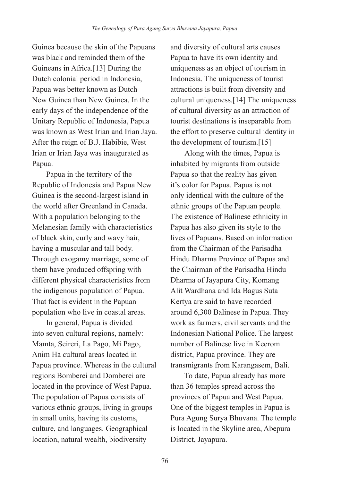Guinea because the skin of the Papuans was black and reminded them of the Guineans in Africa.[13] During the Dutch colonial period in Indonesia, Papua was better known as Dutch New Guinea than New Guinea. In the early days of the independence of the Unitary Republic of Indonesia, Papua was known as West Irian and Irian Jaya. After the reign of B.J. Habibie, West Irian or Irian Jaya was inaugurated as Papua.

Papua in the territory of the Republic of Indonesia and Papua New Guinea is the second-largest island in the world after Greenland in Canada. With a population belonging to the Melanesian family with characteristics of black skin, curly and wavy hair, having a muscular and tall body. Through exogamy marriage, some of them have produced offspring with different physical characteristics from the indigenous population of Papua. That fact is evident in the Papuan population who live in coastal areas.

In general, Papua is divided into seven cultural regions, namely: Mamta, Seireri, La Pago, Mi Pago, Anim Ha cultural areas located in Papua province. Whereas in the cultural regions Bomberei and Domberei are located in the province of West Papua. The population of Papua consists of various ethnic groups, living in groups in small units, having its customs, culture, and languages. Geographical location, natural wealth, biodiversity

and diversity of cultural arts causes Papua to have its own identity and uniqueness as an object of tourism in Indonesia. The uniqueness of tourist attractions is built from diversity and cultural uniqueness.[14] The uniqueness of cultural diversity as an attraction of tourist destinations is inseparable from the effort to preserve cultural identity in the development of tourism.[15]

Along with the times, Papua is inhabited by migrants from outside Papua so that the reality has given it's color for Papua. Papua is not only identical with the culture of the ethnic groups of the Papuan people. The existence of Balinese ethnicity in Papua has also given its style to the lives of Papuans. Based on information from the Chairman of the Parisadha Hindu Dharma Province of Papua and the Chairman of the Parisadha Hindu Dharma of Jayapura City, Komang Alit Wardhana and Ida Bagus Suta Kertya are said to have recorded around 6,300 Balinese in Papua. They work as farmers, civil servants and the Indonesian National Police. The largest number of Balinese live in Keerom district, Papua province. They are transmigrants from Karangasem, Bali.

To date, Papua already has more than 36 temples spread across the provinces of Papua and West Papua. One of the biggest temples in Papua is Pura Agung Surya Bhuvana. The temple is located in the Skyline area, Abepura District, Jayapura.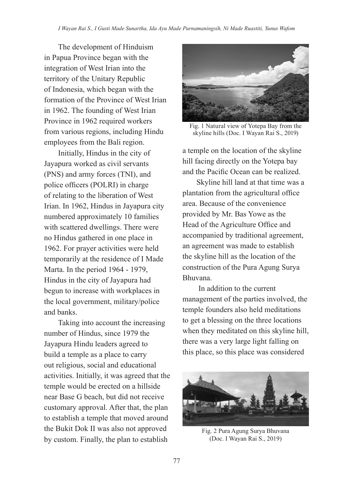The development of Hinduism in Papua Province began with the integration of West Irian into the territory of the Unitary Republic of Indonesia, which began with the formation of the Province of West Irian in 1962. The founding of West Irian Province in 1962 required workers from various regions, including Hindu employees from the Bali region.

Initially, Hindus in the city of Jayapura worked as civil servants (PNS) and army forces (TNI), and police officers (POLRI) in charge of relating to the liberation of West Irian. In 1962, Hindus in Jayapura city numbered approximately 10 families with scattered dwellings. There were no Hindus gathered in one place in 1962. For prayer activities were held temporarily at the residence of I Made Marta. In the period 1964 - 1979, Hindus in the city of Jayapura had begun to increase with workplaces in the local government, military/police and banks.

Taking into account the increasing number of Hindus, since 1979 the Jayapura Hindu leaders agreed to build a temple as a place to carry out religious, social and educational activities. Initially, it was agreed that the temple would be erected on a hillside near Base G beach, but did not receive customary approval. After that, the plan to establish a temple that moved around the Bukit Dok II was also not approved by custom. Finally, the plan to establish



Fig. 1 Natural view of Yotepa Bay from the skyline hills (Doc. I Wayan Rai S., 2019)

a temple on the location of the skyline hill facing directly on the Yotepa bay and the Pacific Ocean can be realized.

Skyline hill land at that time was a plantation from the agricultural office area. Because of the convenience provided by Mr. Bas Yowe as the Head of the Agriculture Office and accompanied by traditional agreement, an agreement was made to establish the skyline hill as the location of the construction of the Pura Agung Surya Bhuvana.

 In addition to the current management of the parties involved, the temple founders also held meditations to get a blessing on the three locations when they meditated on this skyline hill, there was a very large light falling on this place, so this place was considered



Fig. 2 Pura Agung Surya Bhuvana (Doc. I Wayan Rai S., 2019)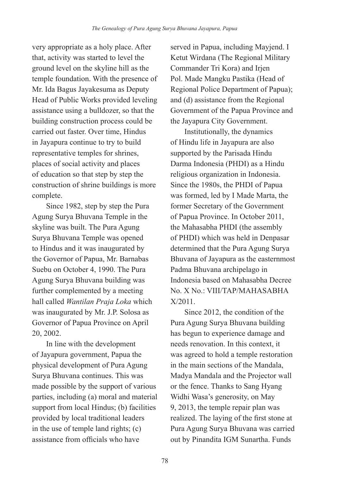very appropriate as a holy place. After that, activity was started to level the ground level on the skyline hill as the temple foundation. With the presence of Mr. Ida Bagus Jayakesuma as Deputy Head of Public Works provided leveling assistance using a bulldozer, so that the building construction process could be carried out faster. Over time, Hindus in Jayapura continue to try to build representative temples for shrines, places of social activity and places of education so that step by step the construction of shrine buildings is more complete.

Since 1982, step by step the Pura Agung Surya Bhuvana Temple in the skyline was built. The Pura Agung Surya Bhuvana Temple was opened to Hindus and it was inaugurated by the Governor of Papua, Mr. Barnabas Suebu on October 4, 1990. The Pura Agung Surya Bhuvana building was further complemented by a meeting hall called *Wantilan Praja Loka* which was inaugurated by Mr. J.P. Solosa as Governor of Papua Province on April 20, 2002.

In line with the development of Jayapura government, Papua the physical development of Pura Agung Surya Bhuvana continues. This was made possible by the support of various parties, including (a) moral and material support from local Hindus; (b) facilities provided by local traditional leaders in the use of temple land rights; (c) assistance from officials who have

served in Papua, including Mayjend. I Ketut Wirdana (The Regional Military Commander Tri Kora) and Irjen Pol. Made Mangku Pastika (Head of Regional Police Department of Papua); and (d) assistance from the Regional Government of the Papua Province and the Jayapura City Government.

Institutionally, the dynamics of Hindu life in Jayapura are also supported by the Parisada Hindu Darma Indonesia (PHDI) as a Hindu religious organization in Indonesia. Since the 1980s, the PHDI of Papua was formed, led by I Made Marta, the former Secretary of the Government of Papua Province. In October 2011, the Mahasabha PHDI (the assembly of PHDI) which was held in Denpasar determined that the Pura Agung Surya Bhuvana of Jayapura as the easternmost Padma Bhuvana archipelago in Indonesia based on Mahasabha Decree No. X No.: VIII/TAP/MAHASABHA X/2011.

Since 2012, the condition of the Pura Agung Surya Bhuvana building has begun to experience damage and needs renovation. In this context, it was agreed to hold a temple restoration in the main sections of the Mandala, Madya Mandala and the Projector wall or the fence. Thanks to Sang Hyang Widhi Wasa's generosity, on May 9, 2013, the temple repair plan was realized. The laying of the first stone at Pura Agung Surya Bhuvana was carried out by Pinandita IGM Sunartha. Funds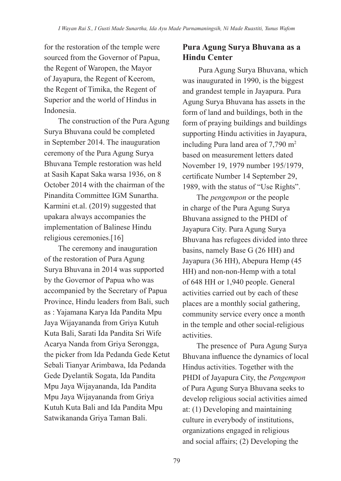for the restoration of the temple were sourced from the Governor of Papua, the Regent of Waropen, the Mayor of Jayapura, the Regent of Keerom, the Regent of Timika, the Regent of Superior and the world of Hindus in Indonesia.

The construction of the Pura Agung Surya Bhuvana could be completed in September 2014. The inauguration ceremony of the Pura Agung Surya Bhuvana Temple restoration was held at Sasih Kapat Saka warsa 1936, on 8 October 2014 with the chairman of the Pinandita Committee IGM Sunartha. Karmini et.al. (2019) suggested that upakara always accompanies the implementation of Balinese Hindu religious ceremonies.[16]

The ceremony and inauguration of the restoration of Pura Agung Surya Bhuvana in 2014 was supported by the Governor of Papua who was accompanied by the Secretary of Papua Province, Hindu leaders from Bali, such as : Yajamana Karya Ida Pandita Mpu Jaya Wijayananda from Griya Kutuh Kuta Bali, Sarati Ida Pandita Sri Wife Acarya Nanda from Griya Serongga, the picker from Ida Pedanda Gede Ketut Sebali Tianyar Arimbawa, Ida Pedanda Gede Dyelantik Sogata, Ida Pandita Mpu Jaya Wijayananda, Ida Pandita Mpu Jaya Wijayananda from Griya Kutuh Kuta Bali and Ida Pandita Mpu Satwikananda Griya Taman Bali.

## **Pura Agung Surya Bhuvana as a Hindu Center**

Pura Agung Surya Bhuvana, which was inaugurated in 1990, is the biggest and grandest temple in Jayapura. Pura Agung Surya Bhuvana has assets in the form of land and buildings, both in the form of praying buildings and buildings supporting Hindu activities in Jayapura, including Pura land area of 7,790 m<sup>2</sup> based on measurement letters dated November 19, 1979 number 195/1979, certificate Number 14 September 29, 1989, with the status of "Use Rights".

The *pengempon* or the people in charge of the Pura Agung Surya Bhuvana assigned to the PHDI of Jayapura City. Pura Agung Surya Bhuvana has refugees divided into three basins, namely Base G (26 HH) and Jayapura (36 HH), Abepura Hemp (45 HH) and non-non-Hemp with a total of 648 HH or 1,940 people. General activities carried out by each of these places are a monthly social gathering, community service every once a month in the temple and other social-religious activities.

The presence of Pura Agung Surya Bhuvana influence the dynamics of local Hindus activities. Together with the PHDI of Jayapura City, the *Pengempon* of Pura Agung Surya Bhuvana seeks to develop religious social activities aimed at: (1) Developing and maintaining culture in everybody of institutions, organizations engaged in religious and social affairs; (2) Developing the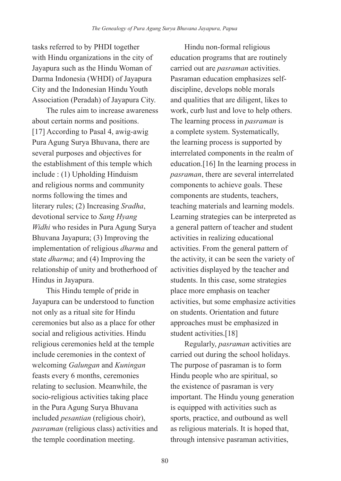tasks referred to by PHDI together with Hindu organizations in the city of Jayapura such as the Hindu Woman of Darma Indonesia (WHDI) of Jayapura City and the Indonesian Hindu Youth Association (Peradah) of Jayapura City.

The rules aim to increase awareness about certain norms and positions. [17] According to Pasal 4, awig-awig Pura Agung Surya Bhuvana, there are several purposes and objectives for the establishment of this temple which include : (1) Upholding Hinduism and religious norms and community norms following the times and literary rules; (2) Increasing *Sradha*, devotional service to *Sang Hyang Widhi* who resides in Pura Agung Surya Bhuvana Jayapura; (3) Improving the implementation of religious *dharma* and state *dharma*; and (4) Improving the relationship of unity and brotherhood of Hindus in Jayapura.

This Hindu temple of pride in Jayapura can be understood to function not only as a ritual site for Hindu ceremonies but also as a place for other social and religious activities. Hindu religious ceremonies held at the temple include ceremonies in the context of welcoming *Galungan* and *Kuningan*  feasts every 6 months, ceremonies relating to seclusion. Meanwhile, the socio-religious activities taking place in the Pura Agung Surya Bhuvana included *pesantian* (religious choir), *pasraman* (religious class) activities and the temple coordination meeting.

Hindu non-formal religious education programs that are routinely carried out are *pasraman* activities. Pasraman education emphasizes selfdiscipline, develops noble morals and qualities that are diligent, likes to work, curb lust and love to help others. The learning process in *pasraman* is a complete system. Systematically, the learning process is supported by interrelated components in the realm of education.[16] In the learning process in *pasraman*, there are several interrelated components to achieve goals. These components are students, teachers, teaching materials and learning models. Learning strategies can be interpreted as a general pattern of teacher and student activities in realizing educational activities. From the general pattern of the activity, it can be seen the variety of activities displayed by the teacher and students. In this case, some strategies place more emphasis on teacher activities, but some emphasize activities on students. Orientation and future approaches must be emphasized in student activities.[18]

Regularly, *pasraman* activities are carried out during the school holidays. The purpose of pasraman is to form Hindu people who are spiritual, so the existence of pasraman is very important. The Hindu young generation is equipped with activities such as sports, practice, and outbound as well as religious materials. It is hoped that, through intensive pasraman activities,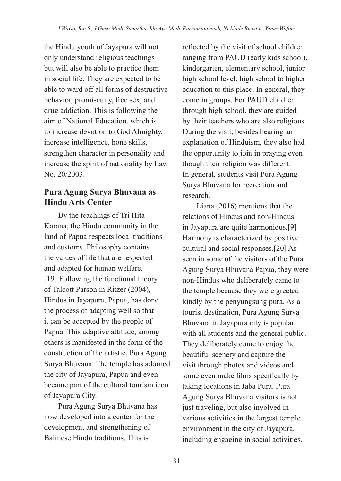the Hindu youth of Jayapura will not only understand religious teachings but will also be able to practice them in social life. They are expected to be able to ward off all forms of destructive behavior, promiscuity, free sex, and drug addiction. This is following the aim of National Education, which is to increase devotion to God Almighty, increase intelligence, hone skills, strengthen character in personality and increase the spirit of nationality by Law No. 20/2003.

## **Pura Agung Surya Bhuvana as Hindu Arts Center**

By the teachings of Tri Hita Karana, the Hindu community in the land of Papua respects local traditions and customs. Philosophy contains the values of life that are respected and adapted for human welfare. [19] Following the functional theory of Talcott Parson in Ritzer (2004), Hindus in Jayapura, Papua, has done the process of adapting well so that it can be accepted by the people of Papua. This adaptive attitude, among others is manifested in the form of the construction of the artistic, Pura Agung Surya Bhuvana. The temple has adorned the city of Jayapura, Papua and even became part of the cultural tourism icon of Jayapura City.

Pura Agung Surya Bhuvana has now developed into a center for the development and strengthening of Balinese Hindu traditions. This is

reflected by the visit of school children ranging from PAUD (early kids school), kindergarten, elementary school, junior high school level, high school to higher education to this place. In general, they come in groups. For PAUD children through high school, they are guided by their teachers who are also religious. During the visit, besides hearing an explanation of Hinduism, they also had the opportunity to join in praying even though their religion was different. In general, students visit Pura Agung Surya Bhuvana for recreation and research.

Liana (2016) mentions that the relations of Hindus and non-Hindus in Jayapura are quite harmonious.[9] Harmony is characterized by positive cultural and social responses.[20] As seen in some of the visitors of the Pura Agung Surya Bhuvana Papua, they were non-Hindus who deliberately came to the temple because they were greeted kindly by the penyungsung pura. As a tourist destination, Pura Agung Surya Bhuvana in Jayapura city is popular with all students and the general public. They deliberately come to enjoy the beautiful scenery and capture the visit through photos and videos and some even make films specifically by taking locations in Jaba Pura. Pura Agung Surya Bhuvana visitors is not just traveling, but also involved in various activities in the largest temple environment in the city of Jayapura, including engaging in social activities,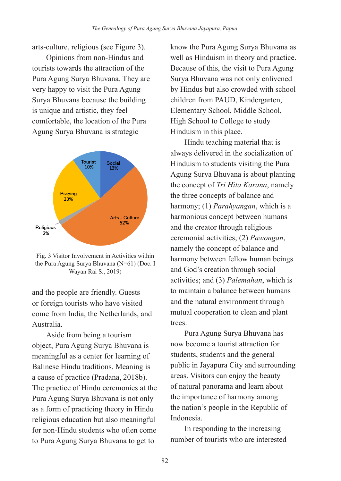arts-culture, religious (see Figure 3).

Opinions from non-Hindus and tourists towards the attraction of the Pura Agung Surya Bhuvana. They are very happy to visit the Pura Agung Surya Bhuvana because the building is unique and artistic, they feel comfortable, the location of the Pura Agung Surya Bhuvana is strategic



Fig. 3 Visitor Involvement in Activities within the Pura Agung Surya Bhuvana (N=61) (Doc. I Wayan Rai S., 2019)

and the people are friendly. Guests or foreign tourists who have visited come from India, the Netherlands, and Australia.

Aside from being a tourism object, Pura Agung Surya Bhuvana is meaningful as a center for learning of Balinese Hindu traditions. Meaning is a cause of practice (Pradana, 2018b). The practice of Hindu ceremonies at the Pura Agung Surya Bhuvana is not only as a form of practicing theory in Hindu religious education but also meaningful for non-Hindu students who often come to Pura Agung Surya Bhuvana to get to

know the Pura Agung Surya Bhuvana as well as Hinduism in theory and practice. Because of this, the visit to Pura Agung Surya Bhuvana was not only enlivened by Hindus but also crowded with school children from PAUD, Kindergarten, Elementary School, Middle School, High School to College to study Hinduism in this place.

Hindu teaching material that is always delivered in the socialization of Hinduism to students visiting the Pura Agung Surya Bhuvana is about planting the concept of *Tri Hita Karana*, namely the three concepts of balance and harmony; (1) *Parahyangan*, which is a harmonious concept between humans and the creator through religious ceremonial activities; (2) *Pawongan*, namely the concept of balance and harmony between fellow human beings and God's creation through social activities; and (3) *Palemahan*, which is to maintain a balance between humans and the natural environment through mutual cooperation to clean and plant trees.

Pura Agung Surya Bhuvana has now become a tourist attraction for students, students and the general public in Jayapura City and surrounding areas. Visitors can enjoy the beauty of natural panorama and learn about the importance of harmony among the nation's people in the Republic of Indonesia.

In responding to the increasing number of tourists who are interested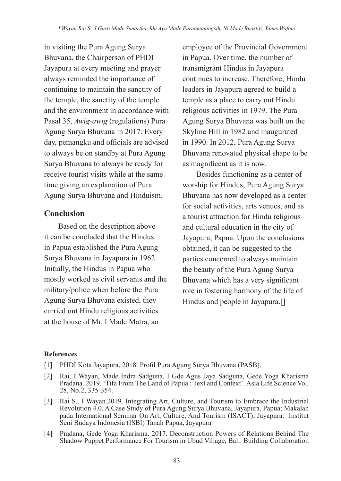in visiting the Pura Agung Surya Bhuvana, the Chairperson of PHDI Jayapura at every meeting and prayer always reminded the importance of continuing to maintain the sanctity of the temple, the sanctity of the temple and the environment in accordance with Pasal 35, *Awig-awig* (regulations) Pura Agung Surya Bhuvana in 2017. Every day, pemangku and officials are advised to always be on standby at Pura Agung Surya Bhuvana to always be ready for receive tourist visits while at the same time giving an explanation of Pura Agung Surya Bhuvana and Hinduism.

#### **Conclusion**

Based on the description above it can be concluded that the Hindus in Papua established the Pura Agung Surya Bhuvana in Jayapura in 1962. Initially, the Hindus in Papua who mostly worked as civil servants and the military/police when before the Pura Agung Surya Bhuvana existed, they carried out Hindu religious activities at the house of Mr. I Made Matra, an

employee of the Provincial Government in Papua. Over time, the number of transmigrant Hindus in Jayapura continues to increase. Therefore, Hindu leaders in Jayapura agreed to build a temple as a place to carry out Hindu religious activities in 1979. The Pura Agung Surya Bhuvana was built on the Skyline Hill in 1982 and inaugurated in 1990. In 2012, Pura Agung Surya Bhuvana renovated physical shape to be as magnificent as it is now.

Besides functioning as a center of worship for Hindus, Pura Agung Surya Bhuvana has now developed as a center for social activities, arts venues, and as a tourist attraction for Hindu religious and cultural education in the city of Jayapura, Papua. Upon the conclusions obtained, it can be suggested to the parties concerned to always maintain the beauty of the Pura Agung Surya Bhuvana which has a very significant role in fostering harmony of the life of Hindus and people in Jayapura.[]

#### **References**

[4] Pradana, Gede Yoga Kharisma. 2017. Deconstruction Powers of Relations Behind The Shadow Puppet Performance For Tourism in Ubud Village, Bali. Building Collaboration

<sup>[1]</sup> PHDI Kota Jayapura, 2018. Profil Pura Agung Surya Bhuvana (PASB).

<sup>[2]</sup> Rai, I Wayan, Made Indra Sadguna, I Gde Agus Jaya Sadguna, Gede Yoga Kharisma Pradana. 2019. 'Tifa From The Land of Papua : Text and Context'. Asia Life Science Vol. 28, No.2, 335-354.

<sup>[3]</sup> Rai S., I Wayan.2019. Integrating Art, Culture, and Tourism to Embrace the Industrial Revolution 4.0, A Case Study of Pura Agung Surya Bhuvana, Jayapura, Papua; Makalah pada International Seminar On Art, Culture, And Tourism (ISACT); Jayapura: Institut Seni Budaya Indonesia (ISBI) Tanah Papua, Jayapura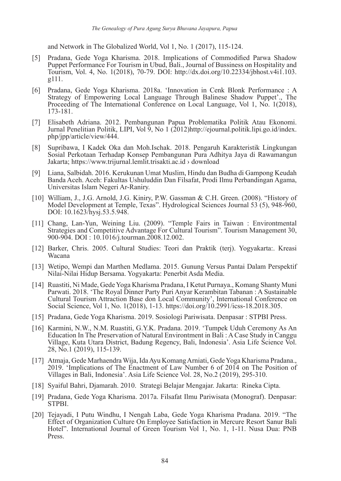and Network in The Globalized World, Vol 1, No. 1 (2017), 115-124.

- [5] Pradana, Gede Yoga Kharisma. 2018. Implications of Commodified Parwa Shadow Puppet Performance For Tourism in Ubud, Bali., Journal of Bussiness on Hospitality and Tourism, Vol. 4, No. 1(2018), 70-79. DOI: http://dx.doi.org/10.22334/jbhost.v4i1.103. g111.
- [6] Pradana, Gede Yoga Kharisma. 2018a. 'Innovation in Cenk Blonk Performance : A Strategy of Empowering Local Language Through Balinese Shadow Puppet'., The Proceeding of The International Conference on Local Language, Vol 1, No. 1(2018), 173-181.
- [7] Elisabeth Adriana. 2012. Pembangunan Papua Problematika Politik Atau Ekonomi. Jurnal Penelitian Politik, LIPI, Vol 9, No 1 (2012)http://ejournal.politik.lipi.go.id/index. php/jpp/article/view/444.
- [8] Supribawa, I Kadek Oka dan Moh.Ischak. 2018. Pengaruh Karakteristik Lingkungan Sosial Perkotaan Terhadap Konsep Pembangunan Pura Adhitya Jaya di Rawamangun Jakarta; https://www.trijurnal.lemlit.trisakti.ac.id › download
- [9] Liana, Salbidah. 2016. Kerukunan Umat Muslim, Hindu dan Budha di Gampong Keudah Banda Aceh. Aceh: Fakultas Ushuluddin Dan Filsafat, Prodi Ilmu Perbandingan Agama, Universitas Islam Negeri Ar-Raniry.
- [10] William, J., J.G. Arnold, J.G. Kiniry, P.W. Gassman & C.H. Green. (2008). "History of Model Development at Temple, Texas". Hydrological Sciences Journal 53 (5), 948-960, DOI: 10.1623/hysj.53.5.948.
- [11] Chang, Lan-Yun, Weining Liu. (2009). "Temple Fairs in Taiwan : Environtmental Strategies and Competitive Advantage For Cultural Tourism". Tourism Management 30, 900-904. DOI : 10.1016/j.tourman.2008.12.002.
- [12] Barker, Chris. 2005. Cultural Studies: Teori dan Praktik (terj). Yogyakarta:. Kreasi Wacana
- [13] Wetipo, Wempi dan Marthen Medlama. 2015. Gunung Versus Pantai Dalam Perspektif Nilai-Nilai Hidup Bersama. Yogyakarta: Penerbit Asda Media.
- [14] Ruastiti, Ni Made, Gede Yoga Kharisma Pradana, I Ketut Purnaya., Komang Shanty Muni Parwati. 2018. 'The Royal Dinner Party Puri Anyar Kerambitan Tabanan : A Sustainable Cultural Tourism Attraction Base don Local Community', International Conference on Social Science, Vol 1, No. 1(2018), 1-13. https://doi.org/10.2991/icss-18.2018.305.
- [15] Pradana, Gede Yoga Kharisma. 2019. Sosiologi Pariwisata. Denpasar : STPBI Press.
- [16] Karmini, N.W., N.M. Ruastiti, G.Y.K. Pradana. 2019. 'Tumpek Uduh Ceremony As An Education In The Preservation of Natural Environtment in Bali : A Case Study in Canggu Village, Kuta Utara District, Badung Regency, Bali, Indonesia'. Asia Life Science Vol. 28, No.1 (2019), 115-139.
- [17] Atmaja, Gede Marhaendra Wija, Ida Ayu Komang Arniati, Gede Yoga Kharisma Pradana., 2019. 'Implications of The Enactment of Law Number 6 of 2014 on The Position of Villages in Bali, Indonesia'. Asia Life Science Vol. 28, No.2 (2019), 295-310.
- [18] Syaiful Bahri, Djamarah. 2010. Strategi Belajar Mengajar. Jakarta: Rineka Cipta.
- [19] Pradana, Gede Yoga Kharisma. 2017a. Filsafat Ilmu Pariwisata (Monograf). Denpasar: STPBI.
- [20] Tejayadi, I Putu Windhu, I Nengah Laba, Gede Yoga Kharisma Pradana. 2019. "The Effect of Organization Culture On Employee Satisfaction in Mercure Resort Sanur Bali Hotel". International Journal of Green Tourism Vol 1, No. 1, 1-11. Nusa Dua: PNB Press.